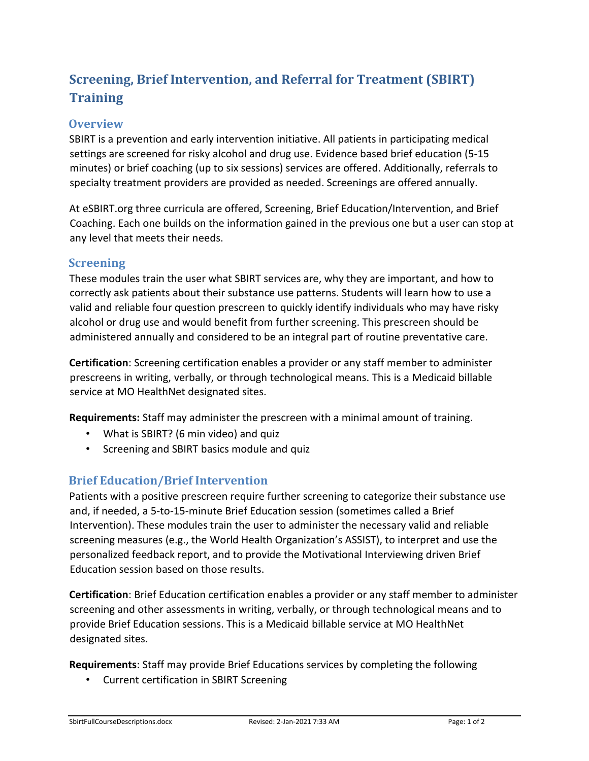# **Screening, Brief Intervention, and Referral for Treatment (SBIRT) Training**

### **Overview**

SBIRT is a prevention and early intervention initiative. All patients in participating medical settings are screened for risky alcohol and drug use. Evidence based brief education (5‐15 minutes) or brief coaching (up to six sessions) services are offered. Additionally, referrals to specialty treatment providers are provided as needed. Screenings are offered annually.

At eSBIRT.org three curricula are offered, Screening, Brief Education/Intervention, and Brief Coaching. Each one builds on the information gained in the previous one but a user can stop at any level that meets their needs.

#### **Screening**

These modules train the user what SBIRT services are, why they are important, and how to correctly ask patients about their substance use patterns. Students will learn how to use a valid and reliable four question prescreen to quickly identify individuals who may have risky alcohol or drug use and would benefit from further screening. This prescreen should be administered annually and considered to be an integral part of routine preventative care.

**Certification**: Screening certification enables a provider or any staff member to administer prescreens in writing, verbally, or through technological means. This is a Medicaid billable service at MO HealthNet designated sites.

**Requirements:** Staff may administer the prescreen with a minimal amount of training.

- What is SBIRT? (6 min video) and quiz
- Screening and SBIRT basics module and quiz

## **Brief Education/Brief Intervention**

Patients with a positive prescreen require further screening to categorize their substance use and, if needed, a 5-to-15-minute Brief Education session (sometimes called a Brief Intervention). These modules train the user to administer the necessary valid and reliable screening measures (e.g., the World Health Organization's ASSIST), to interpret and use the personalized feedback report, and to provide the Motivational Interviewing driven Brief Education session based on those results.

**Certification**: Brief Education certification enables a provider or any staff member to administer screening and other assessments in writing, verbally, or through technological means and to provide Brief Education sessions. This is a Medicaid billable service at MO HealthNet designated sites.

**Requirements**: Staff may provide Brief Educations services by completing the following

• Current certification in SBIRT Screening